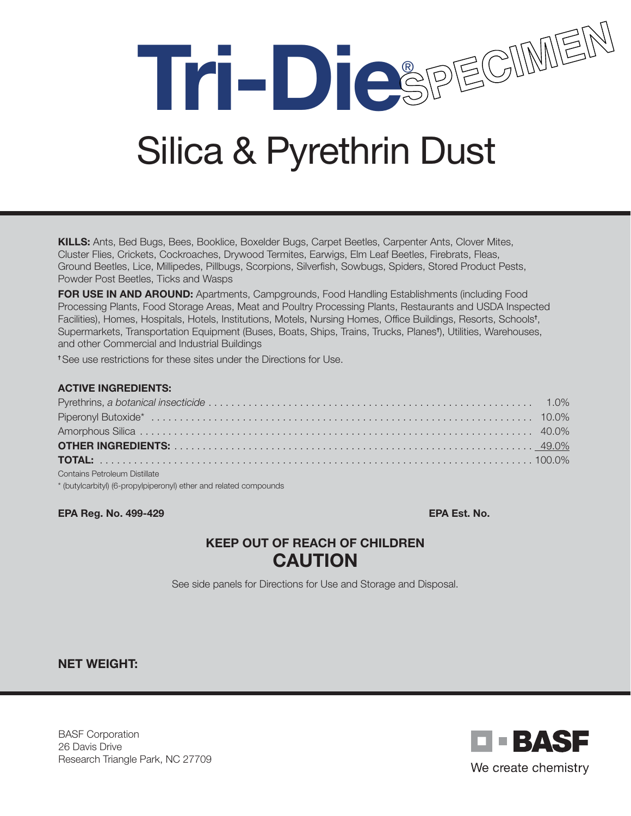Tri-DiespEcuMEM

# Silica & Pyrethrin Dust

KILLS: Ants, Bed Bugs, Bees, Booklice, Boxelder Bugs, Carpet Beetles, Carpenter Ants, Clover Mites, Cluster Flies, Crickets, Cockroaches, Drywood Termites, Earwigs, Elm Leaf Beetles, Firebrats, Fleas, Ground Beetles, Lice, Millipedes, Pillbugs, Scorpions, Silverfish, Sowbugs, Spiders, Stored Product Pests, Powder Post Beetles, Ticks and Wasps

FOR USE IN AND AROUND: Apartments, Campgrounds, Food Handling Establishments (including Food Processing Plants, Food Storage Areas, Meat and Poultry Processing Plants, Restaurants and USDA Inspected Facilities), Homes, Hospitals, Hotels, Institutions, Motels, Nursing Homes, Office Buildings, Resorts, Schools† , Supermarkets, Transportation Equipment (Buses, Boats, Ships, Trains, Trucks, Planes† ), Utilities, Warehouses, and other Commercial and Industrial Buildings

† See use restrictions for these sites under the Directions for Use.

#### ACTIVE INGREDIENTS:

| Contains Petroleum Distillate |  |
|-------------------------------|--|

\* (butylcarbityl) (6-propylpiperonyl) ether and related compounds

**EPA Reg. No. 499-429** EPA Est. No. **EPA Est. No.** 2004.

## KEEP OUT OF REACH OF CHILDREN CAUTION

See side panels for Directions for Use and Storage and Disposal.

NET WEIGHT:

BASF Corporation 26 Davis Drive Research Triangle Park, NC 27709

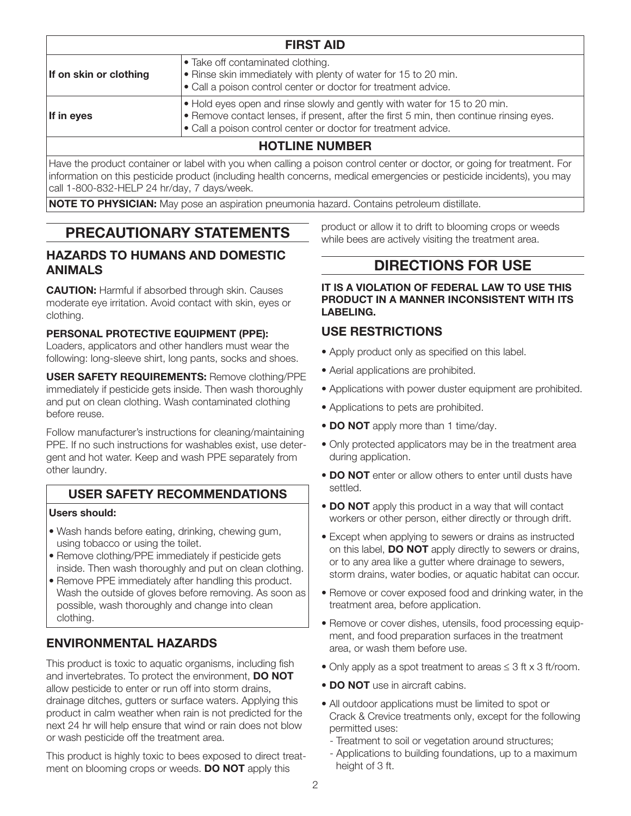| <b>FIRST AID</b>       |                                                                                                                                                                                                                                                        |
|------------------------|--------------------------------------------------------------------------------------------------------------------------------------------------------------------------------------------------------------------------------------------------------|
| If on skin or clothing | $\bullet$ Take off contaminated clothing.<br>• Rinse skin immediately with plenty of water for 15 to 20 min.<br>• Call a poison control center or doctor for treatment advice.                                                                         |
| If in eyes             | $\bullet$ Hold eyes open and rinse slowly and gently with water for 15 to 20 min.<br>$\bullet$ Remove contact lenses, if present, after the first 5 min, then continue rinsing eyes.<br>• Call a poison control center or doctor for treatment advice. |
| <b>HOTLINE NUMBER</b>  |                                                                                                                                                                                                                                                        |

Have the product container or label with you when calling a poison control center or doctor, or going for treatment. For information on this pesticide product (including health concerns, medical emergencies or pesticide incidents), you may call 1-800-832-HELP 24 hr/day, 7 days/week.

**NOTE TO PHYSICIAN:** May pose an aspiration pneumonia hazard. Contains petroleum distillate.

# PRECAUTIONARY STATEMENTS

### HAZARDS TO HUMANS AND DOMESTIC ANIMALS

**CAUTION:** Harmful if absorbed through skin. Causes moderate eye irritation. Avoid contact with skin, eyes or clothing.

#### PERSONAL PROTECTIVE EQUIPMENT (PPE):

Loaders, applicators and other handlers must wear the following: long-sleeve shirt, long pants, socks and shoes.

USER SAFETY REQUIREMENTS: Remove clothing/PPE immediately if pesticide gets inside. Then wash thoroughly and put on clean clothing. Wash contaminated clothing before reuse.

Follow manufacturer's instructions for cleaning/maintaining PPE. If no such instructions for washables exist, use detergent and hot water. Keep and wash PPE separately from other laundry.

## USER SAFETY RECOMMENDATIONS

#### Users should:

- Wash hands before eating, drinking, chewing gum, using tobacco or using the toilet.
- Remove clothing/PPE immediately if pesticide gets inside. Then wash thoroughly and put on clean clothing.
- Remove PPE immediately after handling this product. Wash the outside of gloves before removing. As soon as possible, wash thoroughly and change into clean clothing.

## ENVIRONMENTAL HAZARDS

This product is toxic to aquatic organisms, including fish and invertebrates. To protect the environment, DO NOT allow pesticide to enter or run off into storm drains, drainage ditches, gutters or surface waters. Applying this product in calm weather when rain is not predicted for the next 24 hr will help ensure that wind or rain does not blow or wash pesticide off the treatment area.

This product is highly toxic to bees exposed to direct treatment on blooming crops or weeds. **DO NOT** apply this

product or allow it to drift to blooming crops or weeds while bees are actively visiting the treatment area.

# DIRECTIONS FOR USE

IT IS A VIOLATION OF FEDERAL LAW TO USE THIS PRODUCT IN A MANNER INCONSISTENT WITH ITS LABELING.

## USE RESTRICTIONS

- Apply product only as specified on this label.
- Aerial applications are prohibited.
- Applications with power duster equipment are prohibited.
- Applications to pets are prohibited.
- DO NOT apply more than 1 time/day.
- Only protected applicators may be in the treatment area during application.
- DO NOT enter or allow others to enter until dusts have settled.
- DO NOT apply this product in a way that will contact workers or other person, either directly or through drift.
- Except when applying to sewers or drains as instructed on this label, **DO NOT** apply directly to sewers or drains, or to any area like a gutter where drainage to sewers, storm drains, water bodies, or aquatic habitat can occur.
- Remove or cover exposed food and drinking water, in the treatment area, before application.
- Remove or cover dishes, utensils, food processing equipment, and food preparation surfaces in the treatment area, or wash them before use.
- Only apply as a spot treatment to areas  $\leq$  3 ft x 3 ft/room.
- DO NOT use in aircraft cabins.
- All outdoor applications must be limited to spot or Crack & Crevice treatments only, except for the following permitted uses:
	- Treatment to soil or vegetation around structures;
- Applications to building foundations, up to a maximum height of 3 ft.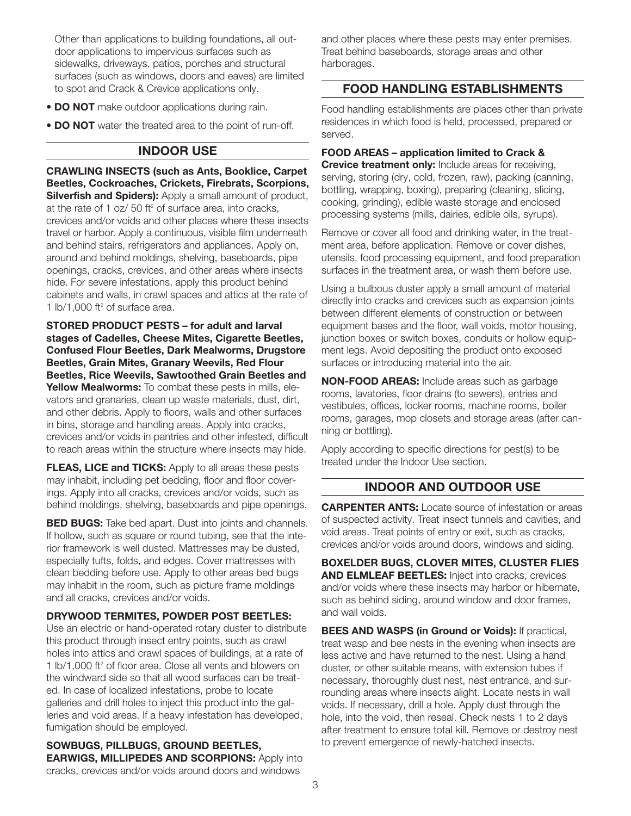Other than applications to building foundations, all outdoor applications to impervious surfaces such as sidewalks, driveways, patios, porches and structural surfaces (such as windows, doors and eaves) are limited to spot and Crack & Crevice applications only.

- DO NOT make outdoor applications during rain.
- DO NOT water the treated area to the point of run-off.

#### INDOOR USE

CRAWLING INSECTS (such as Ants, Booklice, Carpet Beetles, Cockroaches, Crickets, Firebrats, Scorpions, **Silverfish and Spiders):** Apply a small amount of product, at the rate of 1 oz/ 50 ft $2$  of surface area, into cracks, crevices and/or voids and other places where these insects travel or harbor. Apply a continuous, visible film underneath and behind stairs, refrigerators and appliances. Apply on, around and behind moldings, shelving, baseboards, pipe openings, cracks, crevices, and other areas where insects hide. For severe infestations, apply this product behind cabinets and walls, in crawl spaces and attics at the rate of 1 lb/1,000 ft $2$  of surface area.

STORED PRODUCT PESTS – for adult and larval stages of Cadelles, Cheese Mites, Cigarette Beetles, Confused Flour Beetles, Dark Mealworms, Drugstore Beetles, Grain Mites, Granary Weevils, Red Flour Beetles, Rice Weevils, Sawtoothed Grain Beetles and Yellow Mealworms: To combat these pests in mills, elevators and granaries, clean up waste materials, dust, dirt, and other debris. Apply to floors, walls and other surfaces in bins, storage and handling areas. Apply into cracks, crevices and/or voids in pantries and other infested, difficult to reach areas within the structure where insects may hide.

**FLEAS, LICE and TICKS:** Apply to all areas these pests may inhabit, including pet bedding, floor and floor coverings. Apply into all cracks, crevices and/or voids, such as behind moldings, shelving, baseboards and pipe openings.

**BED BUGS:** Take bed apart. Dust into joints and channels. If hollow, such as square or round tubing, see that the interior framework is well dusted. Mattresses may be dusted, especially tufts, folds, and edges. Cover mattresses with clean bedding before use. Apply to other areas bed bugs may inhabit in the room, such as picture frame moldings and all cracks, crevices and/or voids.

#### DRYWOOD TERMITES, POWDER POST BEETLES:

Use an electric or hand-operated rotary duster to distribute this product through insect entry points, such as crawl holes into attics and crawl spaces of buildings, at a rate of 1 lb/1,000 ft<sup>2</sup> of floor area. Close all vents and blowers on the windward side so that all wood surfaces can be treated. In case of localized infestations, probe to locate galleries and drill holes to inject this product into the galleries and void areas. If a heavy infestation has developed, fumigation should be employed.

SOWBUGS, PILLBUGS, GROUND BEETLES, EARWIGS, MILLIPEDES AND SCORPIONS: Apply into cracks, crevices and/or voids around doors and windows

and other places where these pests may enter premises. Treat behind baseboards, storage areas and other harborages.

### FOOD HANDLING ESTABLISHMENTS

Food handling establishments are places other than private residences in which food is held, processed, prepared or served.

FOOD AREAS – application limited to Crack &

**Crevice treatment only:** Include areas for receiving, serving, storing (dry, cold, frozen, raw), packing (canning, bottling, wrapping, boxing), preparing (cleaning, slicing, cooking, grinding), edible waste storage and enclosed processing systems (mills, dairies, edible oils, syrups).

Remove or cover all food and drinking water, in the treatment area, before application. Remove or cover dishes, utensils, food processing equipment, and food preparation surfaces in the treatment area, or wash them before use.

Using a bulbous duster apply a small amount of material directly into cracks and crevices such as expansion joints between different elements of construction or between equipment bases and the floor, wall voids, motor housing, junction boxes or switch boxes, conduits or hollow equipment legs. Avoid depositing the product onto exposed surfaces or introducing material into the air.

NON-FOOD AREAS: Include areas such as garbage rooms, lavatories, floor drains (to sewers), entries and vestibules, offices, locker rooms, machine rooms, boiler rooms, garages, mop closets and storage areas (after canning or bottling).

Apply according to specific directions for pest(s) to be treated under the Indoor Use section.

## INDOOR AND OUTDOOR USE

**CARPENTER ANTS:** Locate source of infestation or areas of suspected activity. Treat insect tunnels and cavities, and void areas. Treat points of entry or exit, such as cracks, crevices and/or voids around doors, windows and siding.

BOXELDER BUGS, CLOVER MITES, CLUSTER FLIES AND ELMLEAF BEETLES: Inject into cracks, crevices and/or voids where these insects may harbor or hibernate, such as behind siding, around window and door frames, and wall voids.

**BEES AND WASPS (in Ground or Voids):** If practical, treat wasp and bee nests in the evening when insects are less active and have returned to the nest. Using a hand duster, or other suitable means, with extension tubes if necessary, thoroughly dust nest, nest entrance, and surrounding areas where insects alight. Locate nests in wall voids. If necessary, drill a hole. Apply dust through the hole, into the void, then reseal. Check nests 1 to 2 days after treatment to ensure total kill. Remove or destroy nest to prevent emergence of newly-hatched insects.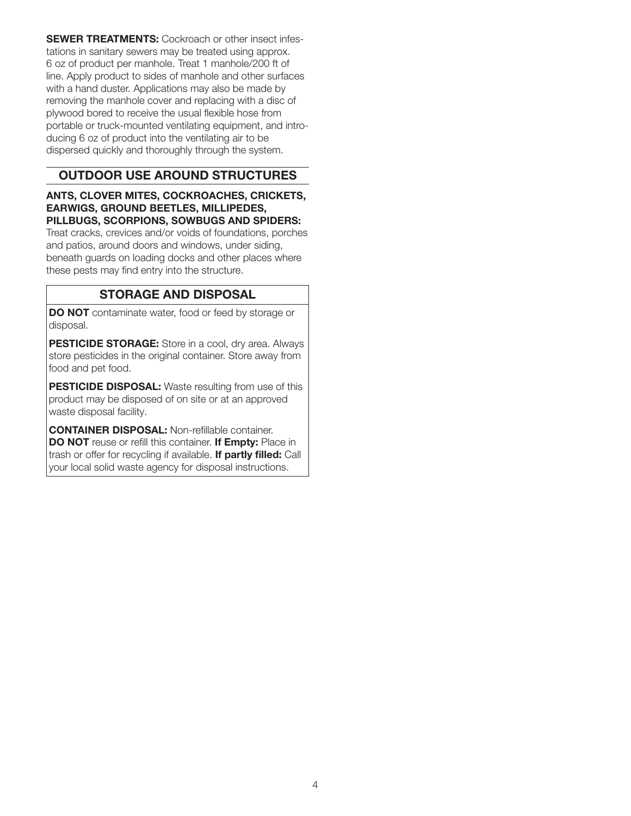**SEWER TREATMENTS:** Cockroach or other insect infestations in sanitary sewers may be treated using approx. 6 oz of product per manhole. Treat 1 manhole/200 ft of line. Apply product to sides of manhole and other surfaces with a hand duster. Applications may also be made by removing the manhole cover and replacing with a disc of plywood bored to receive the usual flexible hose from portable or truck-mounted ventilating equipment, and introducing 6 oz of product into the ventilating air to be dispersed quickly and thoroughly through the system.

## OUTDOOR USE AROUND STRUCTURES

#### ANTS, CLOVER MITES, COCKROACHES, CRICKETS, EARWIGS, GROUND BEETLES, MILLIPEDES, PILLBUGS, SCORPIONS, SOWBUGS AND SPIDERS:

Treat cracks, crevices and/or voids of foundations, porches and patios, around doors and windows, under siding, beneath guards on loading docks and other places where these pests may find entry into the structure.

## STORAGE AND DISPOSAL

DO NOT contaminate water, food or feed by storage or disposal.

PESTICIDE STORAGE: Store in a cool, dry area. Always store pesticides in the original container. Store away from food and pet food.

PESTICIDE DISPOSAL: Waste resulting from use of this product may be disposed of on site or at an approved waste disposal facility.

CONTAINER DISPOSAL: Non-refillable container. DO NOT reuse or refill this container. If Empty: Place in trash or offer for recycling if available. If partly filled: Call your local solid waste agency for disposal instructions.